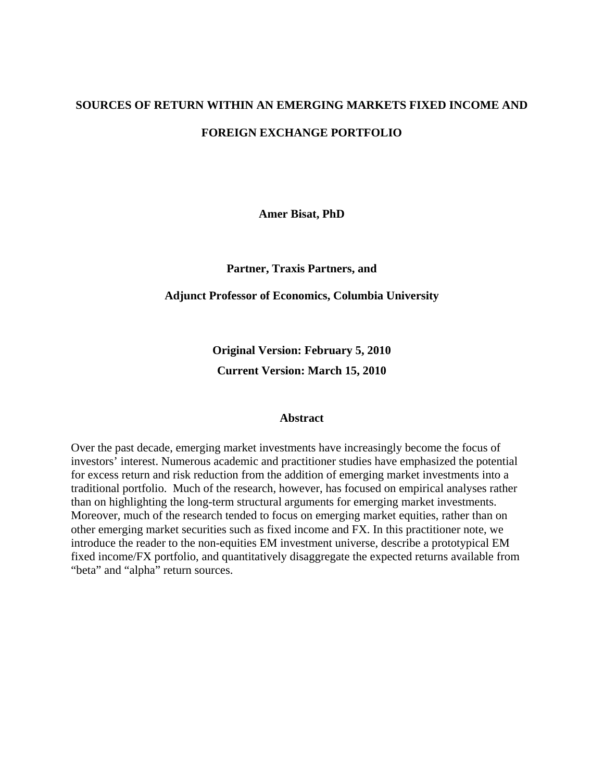# **SOURCES OF RETURN WITHIN AN EMERGING MARKETS FIXED INCOME AND FOREIGN EXCHANGE PORTFOLIO**

**Amer Bisat, PhD** 

**Partner, Traxis Partners, and** 

### **Adjunct Professor of Economics, Columbia University**

**Original Version: February 5, 2010 Current Version: March 15, 2010** 

#### **Abstract**

Over the past decade, emerging market investments have increasingly become the focus of investors' interest. Numerous academic and practitioner studies have emphasized the potential for excess return and risk reduction from the addition of emerging market investments into a traditional portfolio. Much of the research, however, has focused on empirical analyses rather than on highlighting the long-term structural arguments for emerging market investments. Moreover, much of the research tended to focus on emerging market equities, rather than on other emerging market securities such as fixed income and FX. In this practitioner note, we introduce the reader to the non-equities EM investment universe, describe a prototypical EM fixed income/FX portfolio, and quantitatively disaggregate the expected returns available from "beta" and "alpha" return sources.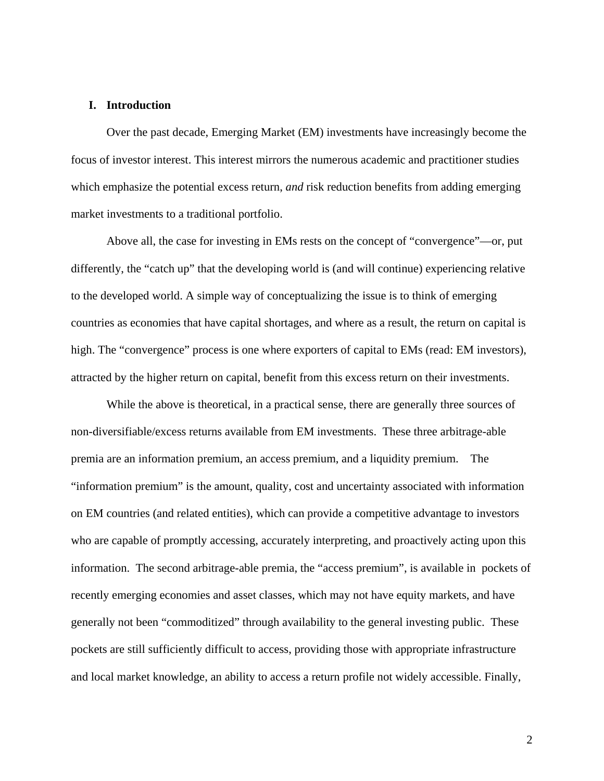#### **I. Introduction**

 Over the past decade, Emerging Market (EM) investments have increasingly become the focus of investor interest. This interest mirrors the numerous academic and practitioner studies which emphasize the potential excess return, *and* risk reduction benefits from adding emerging market investments to a traditional portfolio.

 Above all, the case for investing in EMs rests on the concept of "convergence"—or, put differently, the "catch up" that the developing world is (and will continue) experiencing relative to the developed world. A simple way of conceptualizing the issue is to think of emerging countries as economies that have capital shortages, and where as a result, the return on capital is high. The "convergence" process is one where exporters of capital to EMs (read: EM investors), attracted by the higher return on capital, benefit from this excess return on their investments.

 While the above is theoretical, in a practical sense, there are generally three sources of non-diversifiable/excess returns available from EM investments. These three arbitrage-able premia are an information premium, an access premium, and a liquidity premium. The "information premium" is the amount, quality, cost and uncertainty associated with information on EM countries (and related entities), which can provide a competitive advantage to investors who are capable of promptly accessing, accurately interpreting, and proactively acting upon this information. The second arbitrage-able premia, the "access premium", is available in pockets of recently emerging economies and asset classes, which may not have equity markets, and have generally not been "commoditized" through availability to the general investing public. These pockets are still sufficiently difficult to access, providing those with appropriate infrastructure and local market knowledge, an ability to access a return profile not widely accessible. Finally,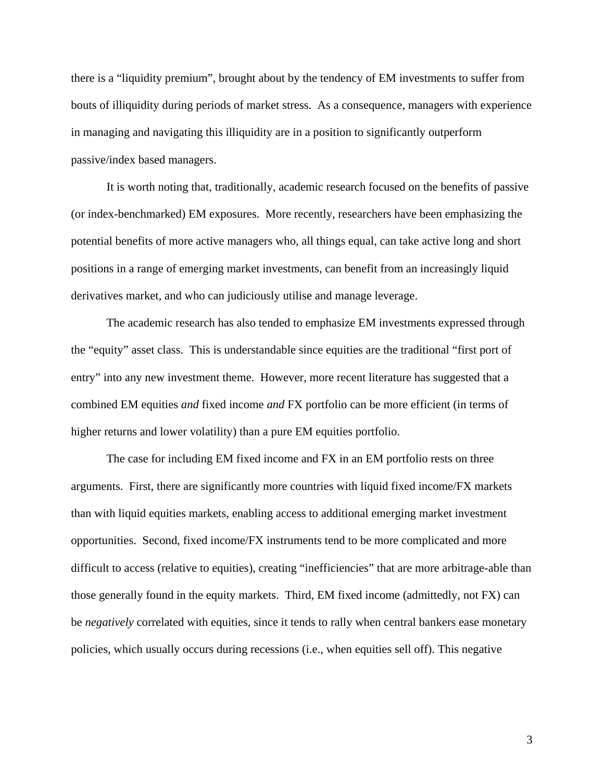there is a "liquidity premium", brought about by the tendency of EM investments to suffer from bouts of illiquidity during periods of market stress. As a consequence, managers with experience in managing and navigating this illiquidity are in a position to significantly outperform passive/index based managers.

It is worth noting that, traditionally, academic research focused on the benefits of passive (or index-benchmarked) EM exposures. More recently, researchers have been emphasizing the potential benefits of more active managers who, all things equal, can take active long and short positions in a range of emerging market investments, can benefit from an increasingly liquid derivatives market, and who can judiciously utilise and manage leverage.

The academic research has also tended to emphasize EM investments expressed through the "equity" asset class. This is understandable since equities are the traditional "first port of entry" into any new investment theme. However, more recent literature has suggested that a combined EM equities *and* fixed income *and* FX portfolio can be more efficient (in terms of higher returns and lower volatility) than a pure EM equities portfolio.

 The case for including EM fixed income and FX in an EM portfolio rests on three arguments. First, there are significantly more countries with liquid fixed income/FX markets than with liquid equities markets, enabling access to additional emerging market investment opportunities. Second, fixed income/FX instruments tend to be more complicated and more difficult to access (relative to equities), creating "inefficiencies" that are more arbitrage-able than those generally found in the equity markets. Third, EM fixed income (admittedly, not FX) can be *negatively* correlated with equities, since it tends to rally when central bankers ease monetary policies, which usually occurs during recessions (i.e., when equities sell off). This negative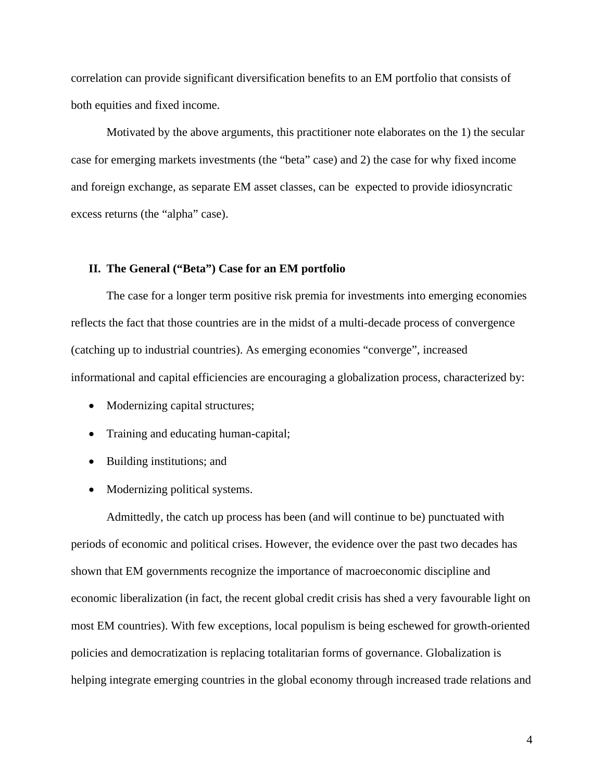correlation can provide significant diversification benefits to an EM portfolio that consists of both equities and fixed income.

 Motivated by the above arguments, this practitioner note elaborates on the 1) the secular case for emerging markets investments (the "beta" case) and 2) the case for why fixed income and foreign exchange, as separate EM asset classes, can be expected to provide idiosyncratic excess returns (the "alpha" case).

### **II. The General ("Beta") Case for an EM portfolio**

 The case for a longer term positive risk premia for investments into emerging economies reflects the fact that those countries are in the midst of a multi-decade process of convergence (catching up to industrial countries). As emerging economies "converge", increased informational and capital efficiencies are encouraging a globalization process, characterized by:

- Modernizing capital structures;
- Training and educating human-capital;
- Building institutions; and
- Modernizing political systems.

 Admittedly, the catch up process has been (and will continue to be) punctuated with periods of economic and political crises. However, the evidence over the past two decades has shown that EM governments recognize the importance of macroeconomic discipline and economic liberalization (in fact, the recent global credit crisis has shed a very favourable light on most EM countries). With few exceptions, local populism is being eschewed for growth-oriented policies and democratization is replacing totalitarian forms of governance. Globalization is helping integrate emerging countries in the global economy through increased trade relations and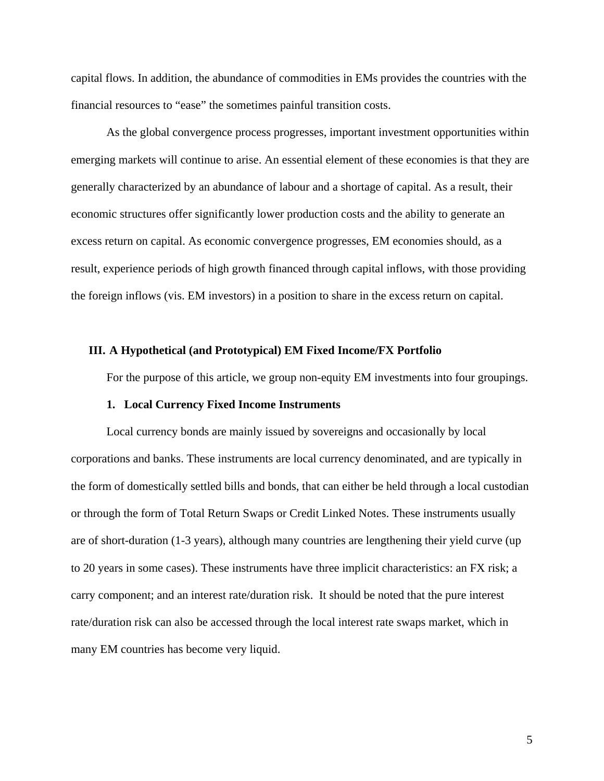capital flows. In addition, the abundance of commodities in EMs provides the countries with the financial resources to "ease" the sometimes painful transition costs.

 As the global convergence process progresses, important investment opportunities within emerging markets will continue to arise. An essential element of these economies is that they are generally characterized by an abundance of labour and a shortage of capital. As a result, their economic structures offer significantly lower production costs and the ability to generate an excess return on capital. As economic convergence progresses, EM economies should, as a result, experience periods of high growth financed through capital inflows, with those providing the foreign inflows (vis. EM investors) in a position to share in the excess return on capital.

#### **III. A Hypothetical (and Prototypical) EM Fixed Income/FX Portfolio**

For the purpose of this article, we group non-equity EM investments into four groupings.

#### **1. Local Currency Fixed Income Instruments**

 Local currency bonds are mainly issued by sovereigns and occasionally by local corporations and banks. These instruments are local currency denominated, and are typically in the form of domestically settled bills and bonds, that can either be held through a local custodian or through the form of Total Return Swaps or Credit Linked Notes. These instruments usually are of short-duration (1-3 years), although many countries are lengthening their yield curve (up to 20 years in some cases). These instruments have three implicit characteristics: an FX risk; a carry component; and an interest rate/duration risk. It should be noted that the pure interest rate/duration risk can also be accessed through the local interest rate swaps market, which in many EM countries has become very liquid.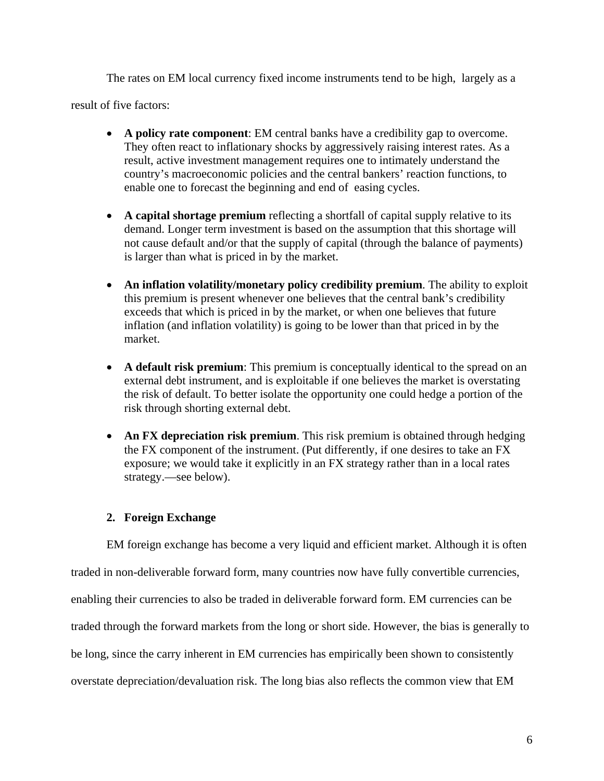The rates on EM local currency fixed income instruments tend to be high, largely as a

result of five factors:

- **A policy rate component**: EM central banks have a credibility gap to overcome. They often react to inflationary shocks by aggressively raising interest rates. As a result, active investment management requires one to intimately understand the country's macroeconomic policies and the central bankers' reaction functions, to enable one to forecast the beginning and end of easing cycles.
- **A capital shortage premium** reflecting a shortfall of capital supply relative to its demand. Longer term investment is based on the assumption that this shortage will not cause default and/or that the supply of capital (through the balance of payments) is larger than what is priced in by the market.
- **An inflation volatility/monetary policy credibility premium**. The ability to exploit this premium is present whenever one believes that the central bank's credibility exceeds that which is priced in by the market, or when one believes that future inflation (and inflation volatility) is going to be lower than that priced in by the market.
- **A default risk premium**: This premium is conceptually identical to the spread on an external debt instrument, and is exploitable if one believes the market is overstating the risk of default. To better isolate the opportunity one could hedge a portion of the risk through shorting external debt.
- An FX depreciation risk premium. This risk premium is obtained through hedging the FX component of the instrument. (Put differently, if one desires to take an FX exposure; we would take it explicitly in an FX strategy rather than in a local rates strategy.—see below).

## **2. Foreign Exchange**

 EM foreign exchange has become a very liquid and efficient market. Although it is often traded in non-deliverable forward form, many countries now have fully convertible currencies, enabling their currencies to also be traded in deliverable forward form. EM currencies can be traded through the forward markets from the long or short side. However, the bias is generally to be long, since the carry inherent in EM currencies has empirically been shown to consistently overstate depreciation/devaluation risk. The long bias also reflects the common view that EM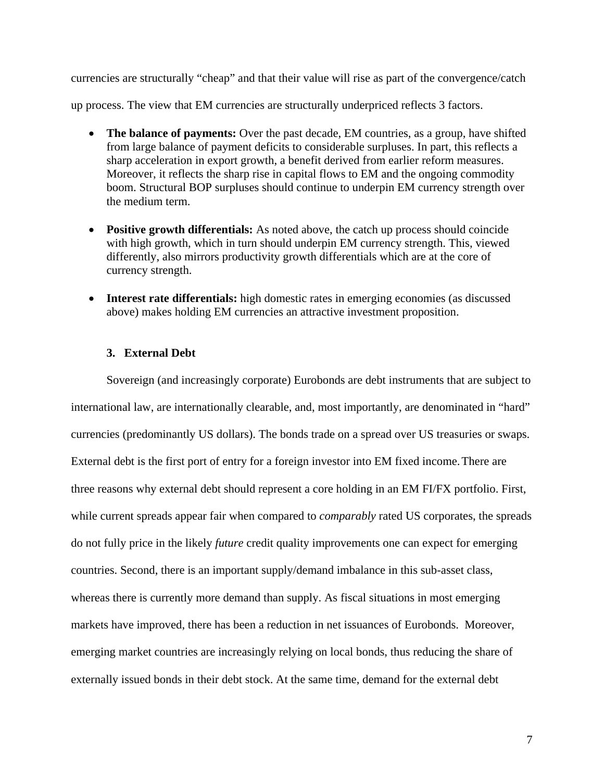currencies are structurally "cheap" and that their value will rise as part of the convergence/catch up process. The view that EM currencies are structurally underpriced reflects 3 factors.

- **The balance of payments:** Over the past decade, EM countries, as a group, have shifted from large balance of payment deficits to considerable surpluses. In part, this reflects a sharp acceleration in export growth, a benefit derived from earlier reform measures. Moreover, it reflects the sharp rise in capital flows to EM and the ongoing commodity boom. Structural BOP surpluses should continue to underpin EM currency strength over the medium term.
- **Positive growth differentials:** As noted above, the catch up process should coincide with high growth, which in turn should underpin EM currency strength. This, viewed differently, also mirrors productivity growth differentials which are at the core of currency strength.
- **Interest rate differentials:** high domestic rates in emerging economies (as discussed above) makes holding EM currencies an attractive investment proposition.

## **3. External Debt**

 Sovereign (and increasingly corporate) Eurobonds are debt instruments that are subject to international law, are internationally clearable, and, most importantly, are denominated in "hard" currencies (predominantly US dollars). The bonds trade on a spread over US treasuries or swaps. External debt is the first port of entry for a foreign investor into EM fixed income. There are three reasons why external debt should represent a core holding in an EM FI/FX portfolio. First, while current spreads appear fair when compared to *comparably* rated US corporates, the spreads do not fully price in the likely *future* credit quality improvements one can expect for emerging countries. Second, there is an important supply/demand imbalance in this sub-asset class, whereas there is currently more demand than supply. As fiscal situations in most emerging markets have improved, there has been a reduction in net issuances of Eurobonds. Moreover, emerging market countries are increasingly relying on local bonds, thus reducing the share of externally issued bonds in their debt stock. At the same time, demand for the external debt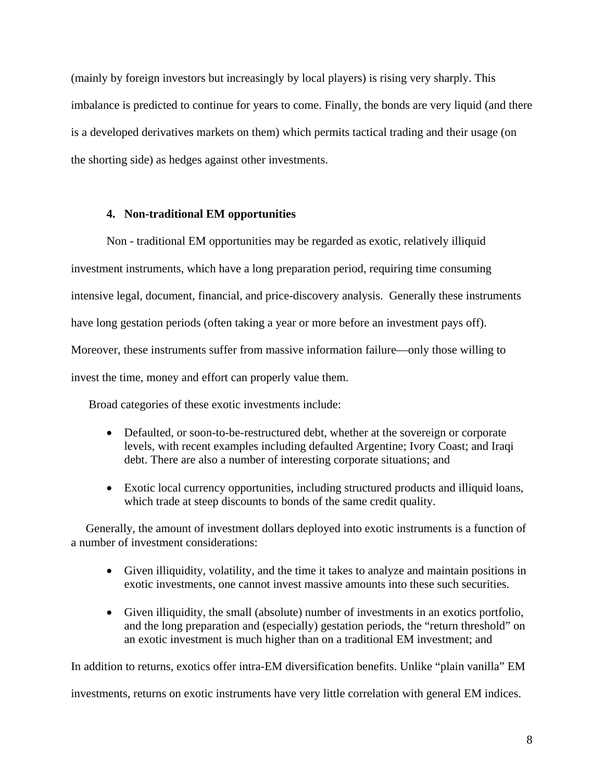(mainly by foreign investors but increasingly by local players) is rising very sharply. This imbalance is predicted to continue for years to come. Finally, the bonds are very liquid (and there is a developed derivatives markets on them) which permits tactical trading and their usage (on the shorting side) as hedges against other investments.

## **4. Non-traditional EM opportunities**

 Non - traditional EM opportunities may be regarded as exotic, relatively illiquid investment instruments, which have a long preparation period, requiring time consuming intensive legal, document, financial, and price-discovery analysis. Generally these instruments have long gestation periods (often taking a year or more before an investment pays off). Moreover, these instruments suffer from massive information failure—only those willing to invest the time, money and effort can properly value them.

Broad categories of these exotic investments include:

- Defaulted, or soon-to-be-restructured debt, whether at the sovereign or corporate levels, with recent examples including defaulted Argentine; Ivory Coast; and Iraqi debt. There are also a number of interesting corporate situations; and
- Exotic local currency opportunities, including structured products and illiquid loans, which trade at steep discounts to bonds of the same credit quality.

 Generally, the amount of investment dollars deployed into exotic instruments is a function of a number of investment considerations:

- Given illiquidity, volatility, and the time it takes to analyze and maintain positions in exotic investments, one cannot invest massive amounts into these such securities.
- Given illiquidity, the small (absolute) number of investments in an exotics portfolio, and the long preparation and (especially) gestation periods, the "return threshold" on an exotic investment is much higher than on a traditional EM investment; and

In addition to returns, exotics offer intra-EM diversification benefits. Unlike "plain vanilla" EM

investments, returns on exotic instruments have very little correlation with general EM indices.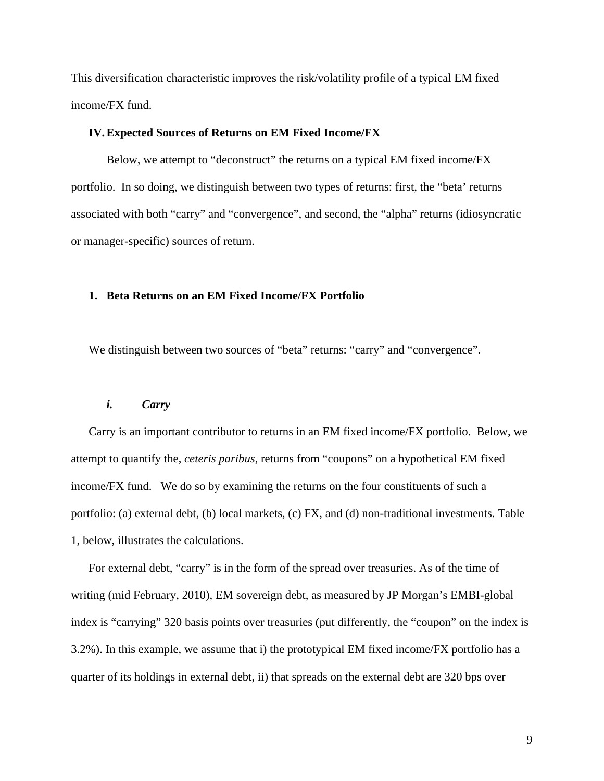This diversification characteristic improves the risk/volatility profile of a typical EM fixed income/FX fund.

#### **IV.Expected Sources of Returns on EM Fixed Income/FX**

 Below, we attempt to "deconstruct" the returns on a typical EM fixed income/FX portfolio. In so doing, we distinguish between two types of returns: first, the "beta' returns associated with both "carry" and "convergence", and second, the "alpha" returns (idiosyncratic or manager-specific) sources of return.

## **1. Beta Returns on an EM Fixed Income/FX Portfolio**

We distinguish between two sources of "beta" returns: "carry" and "convergence".

## *i. Carry*

Carry is an important contributor to returns in an EM fixed income/FX portfolio. Below, we attempt to quantify the, *ceteris paribus*, returns from "coupons" on a hypothetical EM fixed income/FX fund. We do so by examining the returns on the four constituents of such a portfolio: (a) external debt, (b) local markets, (c) FX, and (d) non-traditional investments. Table 1, below, illustrates the calculations.

For external debt, "carry" is in the form of the spread over treasuries. As of the time of writing (mid February, 2010), EM sovereign debt, as measured by JP Morgan's EMBI-global index is "carrying" 320 basis points over treasuries (put differently, the "coupon" on the index is 3.2%). In this example, we assume that i) the prototypical EM fixed income/FX portfolio has a quarter of its holdings in external debt, ii) that spreads on the external debt are 320 bps over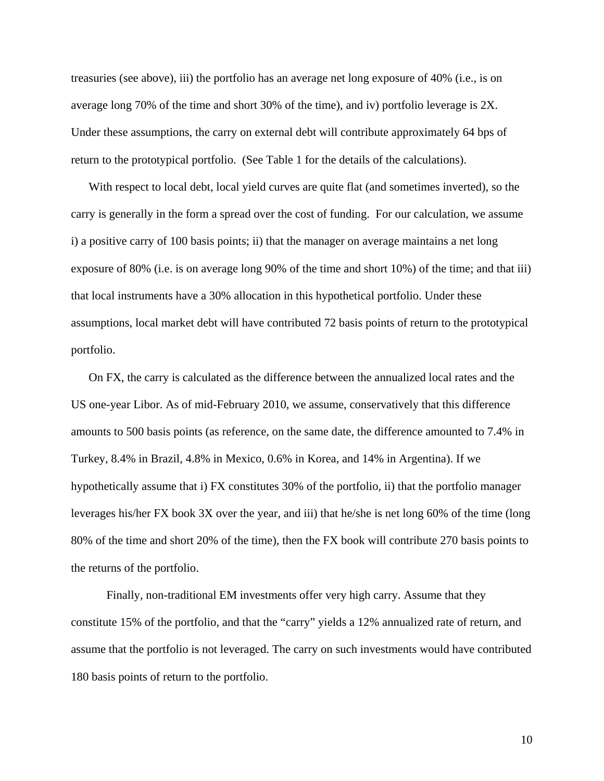treasuries (see above), iii) the portfolio has an average net long exposure of 40% (i.e., is on average long 70% of the time and short 30% of the time), and iv) portfolio leverage is 2X. Under these assumptions, the carry on external debt will contribute approximately 64 bps of return to the prototypical portfolio. (See Table 1 for the details of the calculations).

With respect to local debt, local yield curves are quite flat (and sometimes inverted), so the carry is generally in the form a spread over the cost of funding. For our calculation, we assume i) a positive carry of 100 basis points; ii) that the manager on average maintains a net long exposure of 80% (i.e. is on average long 90% of the time and short 10%) of the time; and that iii) that local instruments have a 30% allocation in this hypothetical portfolio. Under these assumptions, local market debt will have contributed 72 basis points of return to the prototypical portfolio.

On FX, the carry is calculated as the difference between the annualized local rates and the US one-year Libor. As of mid-February 2010, we assume, conservatively that this difference amounts to 500 basis points (as reference, on the same date, the difference amounted to 7.4% in Turkey, 8.4% in Brazil, 4.8% in Mexico, 0.6% in Korea, and 14% in Argentina). If we hypothetically assume that i) FX constitutes 30% of the portfolio, ii) that the portfolio manager leverages his/her FX book 3X over the year, and iii) that he/she is net long 60% of the time (long 80% of the time and short 20% of the time), then the FX book will contribute 270 basis points to the returns of the portfolio.

 Finally, non-traditional EM investments offer very high carry. Assume that they constitute 15% of the portfolio, and that the "carry" yields a 12% annualized rate of return, and assume that the portfolio is not leveraged. The carry on such investments would have contributed 180 basis points of return to the portfolio.

10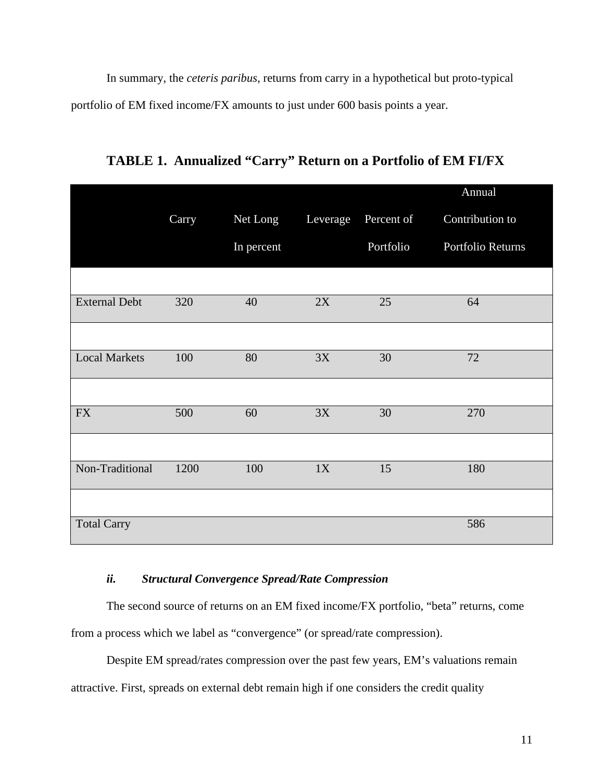In summary, the *ceteris paribus,* returns from carry in a hypothetical but proto-typical portfolio of EM fixed income/FX amounts to just under 600 basis points a year.

Carry Net Long Leverage Percent of Annual Contribution to In percent Portfolio Portfolio Returns External Debt 320 40 2X 25 64 Local Markets 100 80 3X 30 72 FX 500 60 3X 30 270 Non-Traditional 1200 100 1X 15 180 **Total Carry 586** 

**TABLE 1. Annualized "Carry" Return on a Portfolio of EM FI/FX** 

## *ii. Structural Convergence Spread/Rate Compression*

The second source of returns on an EM fixed income/FX portfolio, "beta" returns, come from a process which we label as "convergence" (or spread/rate compression).

 Despite EM spread/rates compression over the past few years, EM's valuations remain attractive. First, spreads on external debt remain high if one considers the credit quality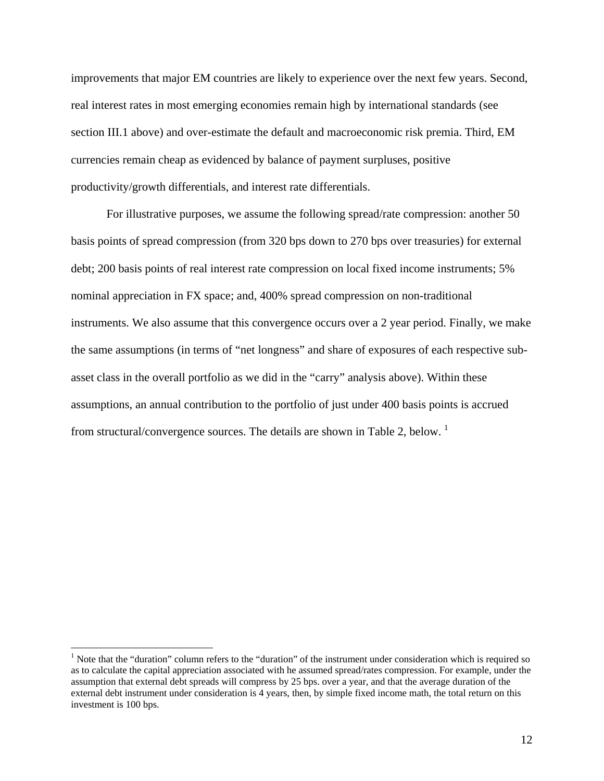improvements that major EM countries are likely to experience over the next few years. Second, real interest rates in most emerging economies remain high by international standards (see section III.1 above) and over-estimate the default and macroeconomic risk premia. Third, EM currencies remain cheap as evidenced by balance of payment surpluses, positive productivity/growth differentials, and interest rate differentials.

 For illustrative purposes, we assume the following spread/rate compression: another 50 basis points of spread compression (from 320 bps down to 270 bps over treasuries) for external debt; 200 basis points of real interest rate compression on local fixed income instruments; 5% nominal appreciation in FX space; and, 400% spread compression on non-traditional instruments. We also assume that this convergence occurs over a 2 year period. Finally, we make the same assumptions (in terms of "net longness" and share of exposures of each respective subasset class in the overall portfolio as we did in the "carry" analysis above). Within these assumptions, an annual contribution to the portfolio of just under 400 basis points is accrued from structural/convergence sources. The details are shown in Table 2, below.<sup>1</sup>

 $\overline{a}$ 

<sup>&</sup>lt;sup>1</sup> Note that the "duration" column refers to the "duration" of the instrument under consideration which is required so as to calculate the capital appreciation associated with he assumed spread/rates compression. For example, under the assumption that external debt spreads will compress by 25 bps. over a year, and that the average duration of the external debt instrument under consideration is 4 years, then, by simple fixed income math, the total return on this investment is 100 bps.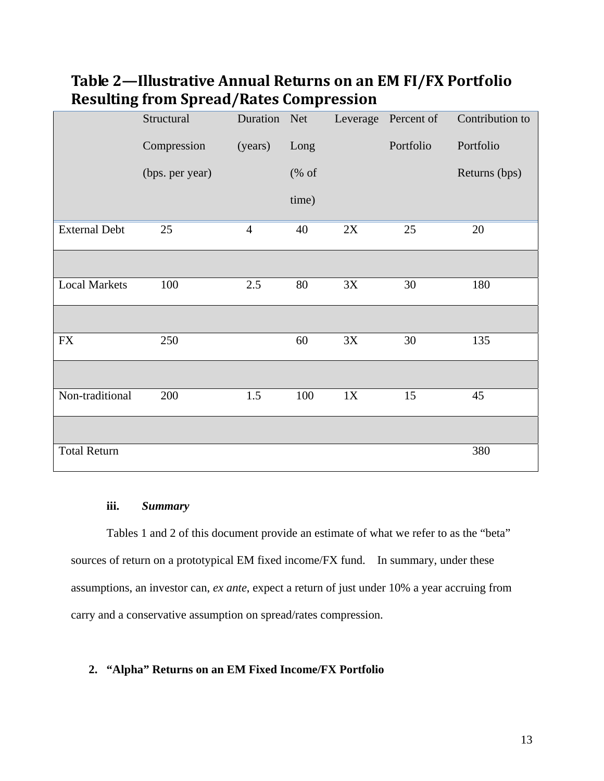| o                    | - -<br>$  \prime$ |                |                                                  |            |                     |                 |
|----------------------|-------------------|----------------|--------------------------------------------------|------------|---------------------|-----------------|
|                      | Structural        | Duration Net   |                                                  |            | Leverage Percent of | Contribution to |
|                      | Compression       | (years)        | Long                                             |            | Portfolio           | Portfolio       |
|                      | (bps. per year)   |                | $(% \mathcal{O}_{0}\rightarrow \mathcal{O}_{1})$ |            |                     | Returns (bps)   |
|                      |                   |                | time)                                            |            |                     |                 |
| <b>External Debt</b> | 25                | $\overline{4}$ | 40                                               | $2{\rm X}$ | 25                  | 20              |
|                      |                   |                |                                                  |            |                     |                 |
| <b>Local Markets</b> | 100               | 2.5            | 80                                               | 3X         | 30                  | 180             |
|                      |                   |                |                                                  |            |                     |                 |
| ${\rm FX}$           | 250               |                | 60                                               | 3X         | 30                  | 135             |
|                      |                   |                |                                                  |            |                     |                 |
| Non-traditional      | 200               | 1.5            | 100                                              | 1X         | 15                  | 45              |
|                      |                   |                |                                                  |            |                     |                 |
| <b>Total Return</b>  |                   |                |                                                  |            |                     | 380             |

# **Table 2—Illustrative Annual Returns on an EM FI/FX Portfolio Resulting from Spread/Rates Compression**

## **iii.** *Summary*

 Tables 1 and 2 of this document provide an estimate of what we refer to as the "beta" sources of return on a prototypical EM fixed income/FX fund. In summary, under these assumptions, an investor can, *ex ante*, expect a return of just under 10% a year accruing from carry and a conservative assumption on spread/rates compression.

## **2. "Alpha" Returns on an EM Fixed Income/FX Portfolio**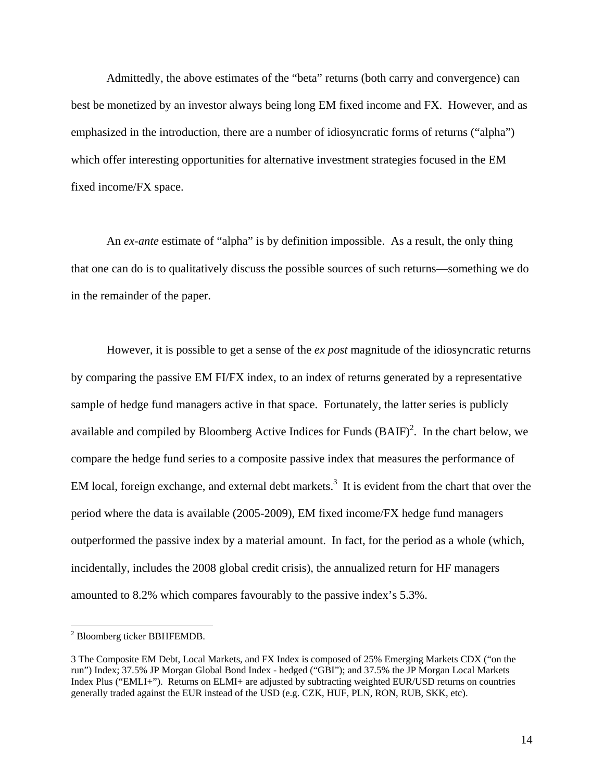Admittedly, the above estimates of the "beta" returns (both carry and convergence) can best be monetized by an investor always being long EM fixed income and FX. However, and as emphasized in the introduction, there are a number of idiosyncratic forms of returns ("alpha") which offer interesting opportunities for alternative investment strategies focused in the EM fixed income/FX space.

An *ex-ante* estimate of "alpha" is by definition impossible. As a result, the only thing that one can do is to qualitatively discuss the possible sources of such returns—something we do in the remainder of the paper.

However, it is possible to get a sense of the *ex post* magnitude of the idiosyncratic returns by comparing the passive EM FI/FX index, to an index of returns generated by a representative sample of hedge fund managers active in that space. Fortunately, the latter series is publicly available and compiled by Bloomberg Active Indices for Funds  $(BAIF)^2$ . In the chart below, we compare the hedge fund series to a composite passive index that measures the performance of EM local, foreign exchange, and external debt markets.<sup>3</sup> It is evident from the chart that over the period where the data is available (2005-2009), EM fixed income/FX hedge fund managers outperformed the passive index by a material amount. In fact, for the period as a whole (which, incidentally, includes the 2008 global credit crisis), the annualized return for HF managers amounted to 8.2% which compares favourably to the passive index's 5.3%.

 $\overline{a}$ 

<sup>&</sup>lt;sup>2</sup> Bloomberg ticker BBHFEMDB.

<sup>3</sup> The Composite EM Debt, Local Markets, and FX Index is composed of 25% Emerging Markets CDX ("on the run") Index; 37.5% JP Morgan Global Bond Index - hedged ("GBI"); and 37.5% the JP Morgan Local Markets Index Plus ("EMLI+"). Returns on ELMI+ are adjusted by subtracting weighted EUR/USD returns on countries generally traded against the EUR instead of the USD (e.g. CZK, HUF, PLN, RON, RUB, SKK, etc).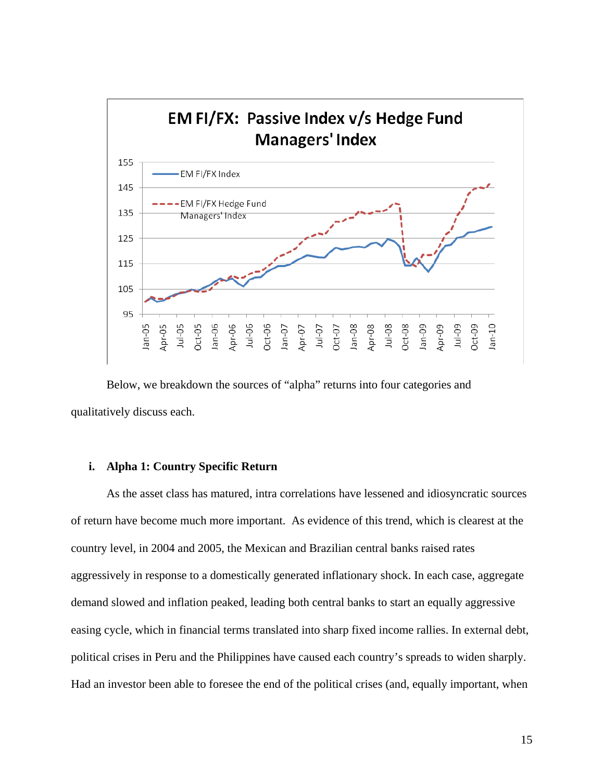

 Below, we breakdown the sources of "alpha" returns into four categories and qualitatively discuss each.

## **i. Alpha 1: Country Specific Return**

 As the asset class has matured, intra correlations have lessened and idiosyncratic sources of return have become much more important. As evidence of this trend, which is clearest at the country level, in 2004 and 2005, the Mexican and Brazilian central banks raised rates aggressively in response to a domestically generated inflationary shock. In each case, aggregate demand slowed and inflation peaked, leading both central banks to start an equally aggressive easing cycle, which in financial terms translated into sharp fixed income rallies. In external debt, political crises in Peru and the Philippines have caused each country's spreads to widen sharply. Had an investor been able to foresee the end of the political crises (and, equally important, when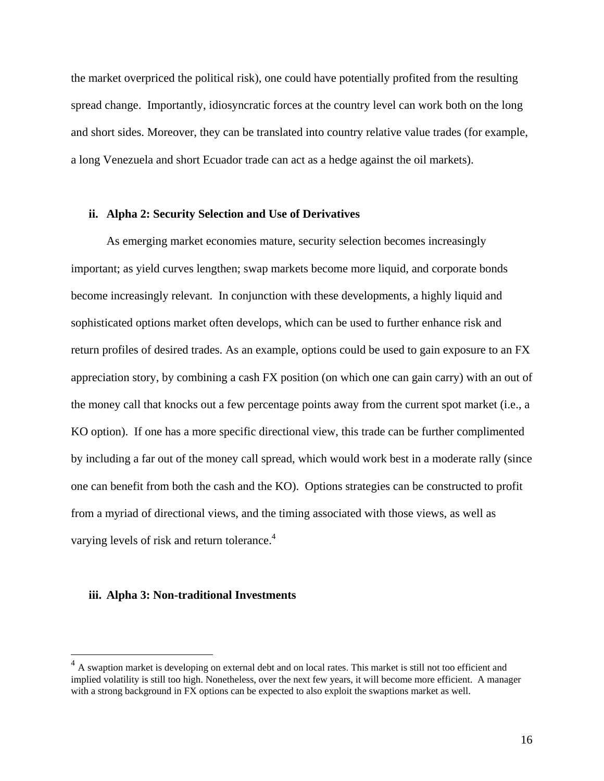the market overpriced the political risk), one could have potentially profited from the resulting spread change. Importantly, idiosyncratic forces at the country level can work both on the long and short sides. Moreover, they can be translated into country relative value trades (for example, a long Venezuela and short Ecuador trade can act as a hedge against the oil markets).

#### **ii. Alpha 2: Security Selection and Use of Derivatives**

 As emerging market economies mature, security selection becomes increasingly important; as yield curves lengthen; swap markets become more liquid, and corporate bonds become increasingly relevant. In conjunction with these developments, a highly liquid and sophisticated options market often develops, which can be used to further enhance risk and return profiles of desired trades. As an example, options could be used to gain exposure to an FX appreciation story, by combining a cash FX position (on which one can gain carry) with an out of the money call that knocks out a few percentage points away from the current spot market (i.e., a KO option). If one has a more specific directional view, this trade can be further complimented by including a far out of the money call spread, which would work best in a moderate rally (since one can benefit from both the cash and the KO). Options strategies can be constructed to profit from a myriad of directional views, and the timing associated with those views, as well as varying levels of risk and return tolerance.<sup>4</sup>

#### **iii. Alpha 3: Non-traditional Investments**

 $\overline{a}$ 

<sup>&</sup>lt;sup>4</sup> A swaption market is developing on external debt and on local rates. This market is still not too efficient and implied volatility is still too high. Nonetheless, over the next few years, it will become more efficient. A manager with a strong background in FX options can be expected to also exploit the swaptions market as well.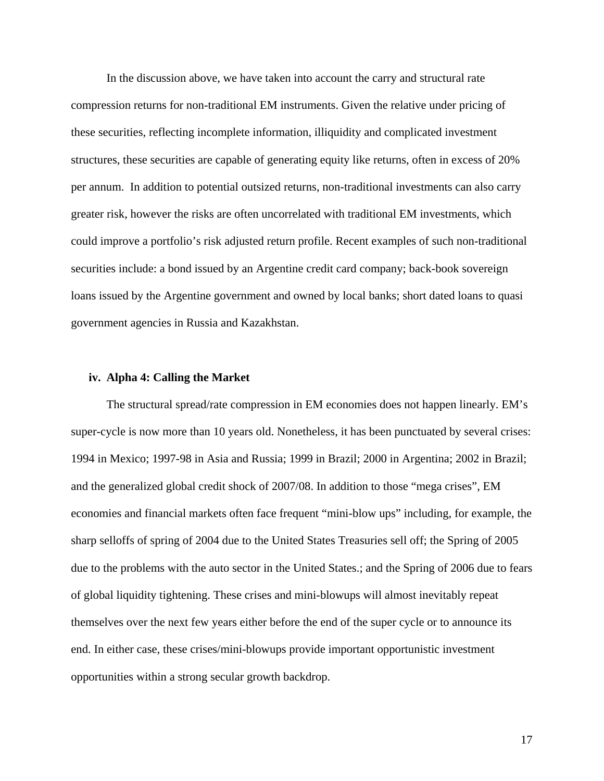In the discussion above, we have taken into account the carry and structural rate compression returns for non-traditional EM instruments. Given the relative under pricing of these securities, reflecting incomplete information, illiquidity and complicated investment structures, these securities are capable of generating equity like returns, often in excess of 20% per annum. In addition to potential outsized returns, non-traditional investments can also carry greater risk, however the risks are often uncorrelated with traditional EM investments, which could improve a portfolio's risk adjusted return profile. Recent examples of such non-traditional securities include: a bond issued by an Argentine credit card company; back-book sovereign loans issued by the Argentine government and owned by local banks; short dated loans to quasi government agencies in Russia and Kazakhstan.

#### **iv. Alpha 4: Calling the Market**

 The structural spread/rate compression in EM economies does not happen linearly. EM's super-cycle is now more than 10 years old. Nonetheless, it has been punctuated by several crises: 1994 in Mexico; 1997-98 in Asia and Russia; 1999 in Brazil; 2000 in Argentina; 2002 in Brazil; and the generalized global credit shock of 2007/08. In addition to those "mega crises", EM economies and financial markets often face frequent "mini-blow ups" including, for example, the sharp selloffs of spring of 2004 due to the United States Treasuries sell off; the Spring of 2005 due to the problems with the auto sector in the United States.; and the Spring of 2006 due to fears of global liquidity tightening. These crises and mini-blowups will almost inevitably repeat themselves over the next few years either before the end of the super cycle or to announce its end. In either case, these crises/mini-blowups provide important opportunistic investment opportunities within a strong secular growth backdrop.

17